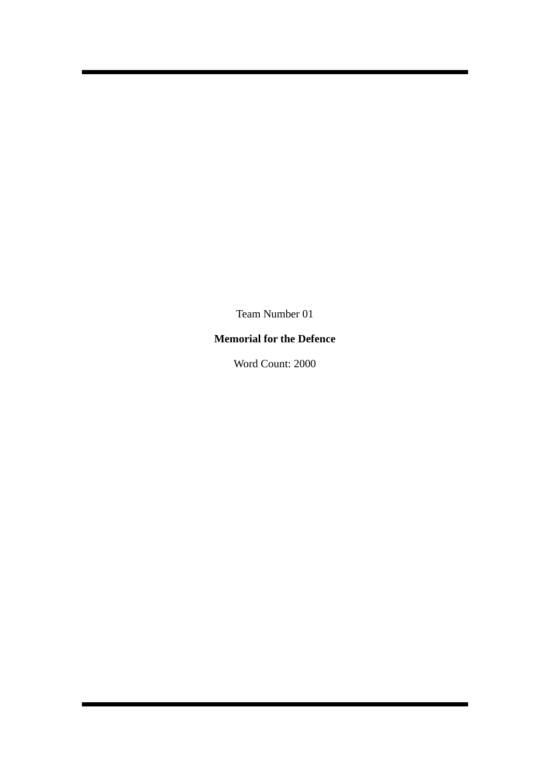Team Number 01

# **Memorial for the Defence**

Word Count: 2000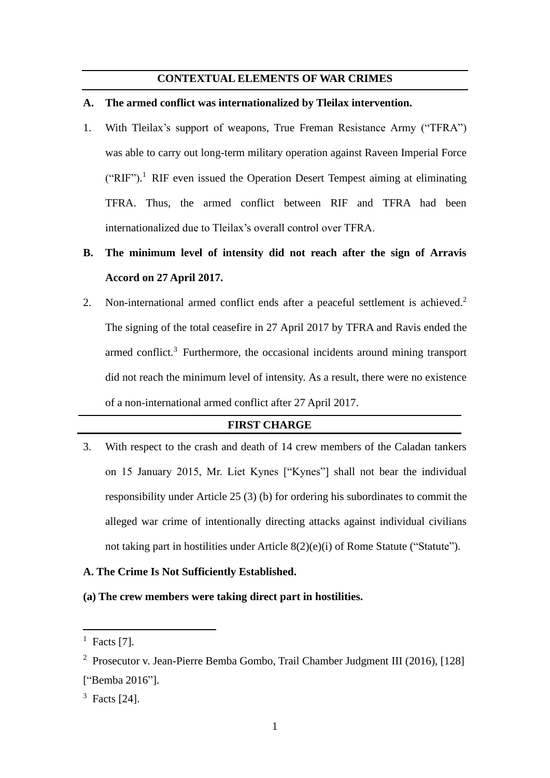## **CONTEXTUAL ELEMENTS OF WAR CRIMES**

#### **A. The armed conflict was internationalized by Tleilax intervention.**

1. With Tleilax's support of weapons, True Freman Resistance Army ("TFRA") was able to carry out long-term military operation against Raveen Imperial Force  $("RIF")$ .<sup>1</sup> RIF even issued the Operation Desert Tempest aiming at eliminating TFRA. Thus, the armed conflict between RIF and TFRA had been internationalized due to Tleilax's overall control over TFRA.

# **B. The minimum level of intensity did not reach after the sign of Arravis Accord on 27 April 2017.**

2. Non-international armed conflict ends after a peaceful settlement is achieved.<sup>2</sup> The signing of the total ceasefire in 27 April 2017 by TFRA and Ravis ended the armed conflict.<sup>3</sup> Furthermore, the occasional incidents around mining transport did not reach the minimum level of intensity. As a result, there were no existence of a non-international armed conflict after 27 April 2017.

## **FIRST CHARGE**

3. With respect to the crash and death of 14 crew members of the Caladan tankers on 15 January 2015, Mr. Liet Kynes ["Kynes"] shall not bear the individual responsibility under Article 25 (3) (b) for ordering his subordinates to commit the alleged war crime of intentionally directing attacks against individual civilians not taking part in hostilities under Article 8(2)(e)(i) of Rome Statute ("Statute").

## **A. The Crime Is Not Sufficiently Established.**

**(a) The crew members were taking direct part in hostilities.**

 $<sup>1</sup>$  Facts [7].</sup>

<sup>&</sup>lt;sup>2</sup> Prosecutor v. Jean-Pierre Bemba Gombo, Trail Chamber Judgment III (2016), [128] ["Bemba 2016"].

<sup>3</sup> Facts [24].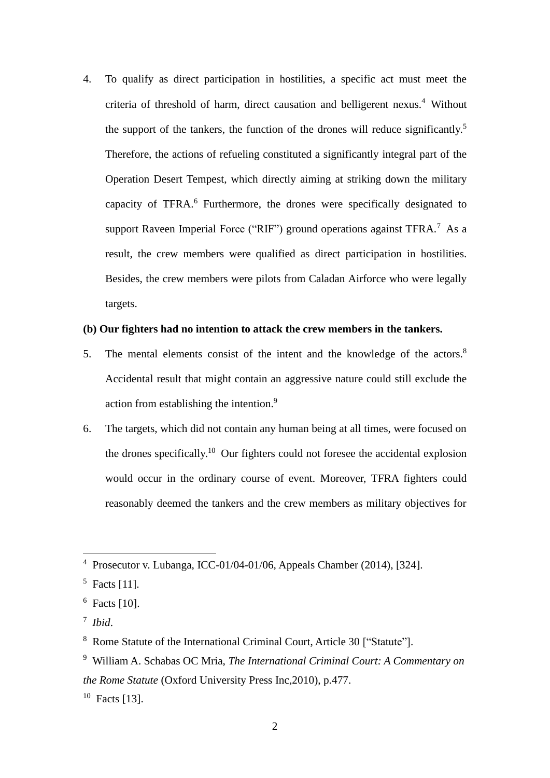4. To qualify as direct participation in hostilities, a specific act must meet the criteria of threshold of harm, direct causation and belligerent nexus.<sup>4</sup> Without the support of the tankers, the function of the drones will reduce significantly.<sup>5</sup> Therefore, the actions of refueling constituted a significantly integral part of the Operation Desert Tempest, which directly aiming at striking down the military capacity of TFRA.<sup>6</sup> Furthermore, the drones were specifically designated to support Raveen Imperial Force ("RIF") ground operations against TFRA.<sup>7</sup> As a result, the crew members were qualified as direct participation in hostilities. Besides, the crew members were pilots from Caladan Airforce who were legally targets.

## **(b) Our fighters had no intention to attack the crew members in the tankers.**

- 5. The mental elements consist of the intent and the knowledge of the actors.<sup>8</sup> Accidental result that might contain an aggressive nature could still exclude the action from establishing the intention.<sup>9</sup>
- 6. The targets, which did not contain any human being at all times, were focused on the drones specifically. <sup>10</sup> Our fighters could not foresee the accidental explosion would occur in the ordinary course of event. Moreover, TFRA fighters could reasonably deemed the tankers and the crew members as military objectives for

<sup>4</sup> Prosecutor v. Lubanga, ICC-01/04-01/06, Appeals Chamber (2014), [324].

 $<sup>5</sup>$  Facts [11].</sup>

 $6$  Facts [10].

<sup>7</sup> *Ibid*.

<sup>8</sup> Rome Statute of the International Criminal Court, Article 30 ["Statute"].

<sup>9</sup> William A. Schabas OC Mria, *The International Criminal Court: A Commentary on the Rome Statute* (Oxford University Press Inc,2010), p.477.

 $10$  Facts [13].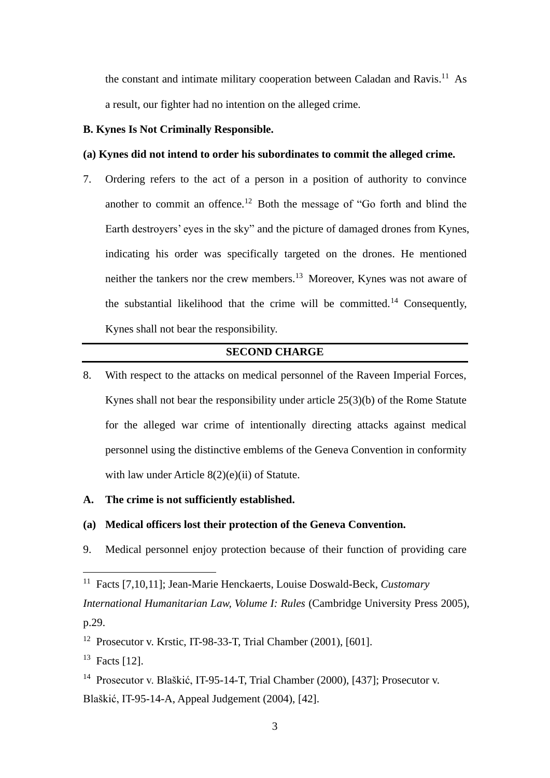the constant and intimate military cooperation between Caladan and Ravis.<sup>11</sup> As a result, our fighter had no intention on the alleged crime.

## **B. Kynes Is Not Criminally Responsible.**

## **(a) Kynes did not intend to order his subordinates to commit the alleged crime.**

7. Ordering refers to the act of a person in a position of authority to convince another to commit an offence.<sup>12</sup> Both the message of "Go forth and blind the Earth destroyers' eyes in the sky" and the picture of damaged drones from Kynes, indicating his order was specifically targeted on the drones. He mentioned neither the tankers nor the crew members.<sup>13</sup> Moreover, Kynes was not aware of the substantial likelihood that the crime will be committed.<sup>14</sup> Consequently, Kynes shall not bear the responsibility.

## **SECOND CHARGE**

8. With respect to the attacks on medical personnel of the Raveen Imperial Forces, Kynes shall not bear the responsibility under article 25(3)(b) of the Rome Statute for the alleged war crime of intentionally directing attacks against medical personnel using the distinctive emblems of the Geneva Convention in conformity with law under Article 8(2)(e)(ii) of Statute.

## **A. The crime is not sufficiently established.**

## **(a) Medical officers lost their protection of the Geneva Convention.**

9. Medical personnel enjoy protection because of their function of providing care

<sup>11</sup> Facts [7,10,11]; Jean-Marie Henckaerts, Louise Doswald-Beck, *Customary International Humanitarian Law, Volume I: Rules* (Cambridge University Press 2005), p.29.

<sup>12</sup> Prosecutor v. Krstic, IT-98-33-T, Trial Chamber (2001), [601].

 $13$  Facts [12].

<sup>14</sup> Prosecutor v. Blaškić, IT-95-14-T, Trial Chamber (2000), [437]; Prosecutor v. Blaškić, IT-95-14-A, Appeal Judgement (2004), [42].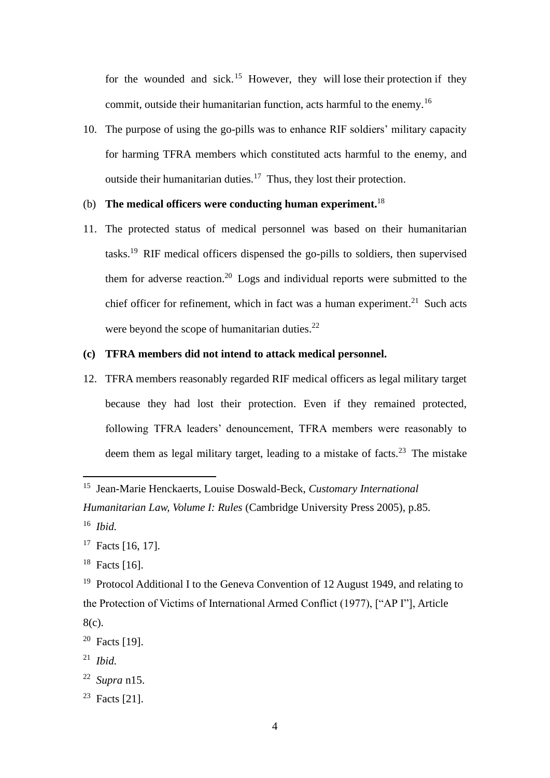for the wounded and sick.<sup>15</sup> However, they will lose their protection if they commit, outside their humanitarian function, acts harmful to the enemy.<sup>16</sup>

10. The purpose of using the go-pills was to enhance RIF soldiers' military capacity for harming TFRA members which constituted acts harmful to the enemy, and outside their humanitarian duties.<sup>17</sup> Thus, they lost their protection.

## (b) **The medical officers were conducting human experiment.** 18

11. The protected status of medical personnel was based on their humanitarian tasks. <sup>19</sup> RIF medical officers dispensed the go-pills to soldiers, then supervised them for adverse reaction.<sup>20</sup> Logs and individual reports were submitted to the chief officer for refinement, which in fact was a human experiment.<sup>21</sup> Such acts were beyond the scope of humanitarian duties. $^{22}$ 

## **(c) TFRA members did not intend to attack medical personnel.**

12. TFRA members reasonably regarded RIF medical officers as legal military target because they had lost their protection. Even if they remained protected, following TFRA leaders' denouncement, TFRA members were reasonably to deem them as legal military target, leading to a mistake of facts.<sup>23</sup> The mistake

<sup>15</sup> Jean-Marie Henckaerts, Louise Doswald-Beck, *Customary International* 

*Humanitarian Law, Volume I: Rules* (Cambridge University Press 2005), p.85.

<sup>16</sup> *Ibid.*

<sup>&</sup>lt;sup>17</sup> Facts [16, 17].

 $18$  Facts [16].

<sup>&</sup>lt;sup>19</sup> Protocol Additional I to the Geneva Convention of 12 August 1949, and relating to the Protection of Victims of International Armed Conflict (1977), ["AP I"], Article 8(c).

<sup>20</sup> Facts [19].

<sup>21</sup> *Ibid.*

<sup>22</sup> *Supra* n15.

 $23$  Facts [21].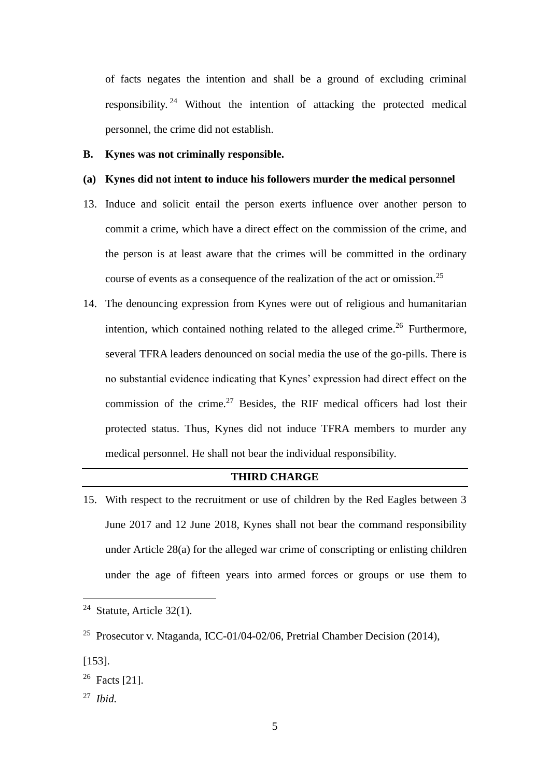of facts negates the intention and shall be a ground of excluding criminal responsibility.<sup>24</sup> Without the intention of attacking the protected medical personnel, the crime did not establish.

#### **B. Kynes was not criminally responsible.**

## **(a) Kynes did not intent to induce his followers murder the medical personnel**

- 13. Induce and solicit entail the person exerts influence over another person to commit a crime, which have a direct effect on the commission of the crime, and the person is at least aware that the crimes will be committed in the ordinary course of events as a consequence of the realization of the act or omission.<sup>25</sup>
- 14. The denouncing expression from Kynes were out of religious and humanitarian intention, which contained nothing related to the alleged crime.<sup>26</sup> Furthermore, several TFRA leaders denounced on social media the use of the go-pills. There is no substantial evidence indicating that Kynes' expression had direct effect on the commission of the crime.<sup>27</sup> Besides, the RIF medical officers had lost their protected status. Thus, Kynes did not induce TFRA members to murder any medical personnel. He shall not bear the individual responsibility.

## **THIRD CHARGE**

15. With respect to the recruitment or use of children by the Red Eagles between 3 June 2017 and 12 June 2018, Kynes shall not bear the command responsibility under Article 28(a) for the alleged war crime of conscripting or enlisting children under the age of fifteen years into armed forces or groups or use them to

<sup>&</sup>lt;sup>24</sup> Statute, Article  $32(1)$ .

<sup>25</sup> Prosecutor v. Ntaganda, ICC-01/04-02/06, Pretrial Chamber Decision (2014),

<sup>[153].</sup>

 $26$  Facts [21].

<sup>27</sup> *Ibid.*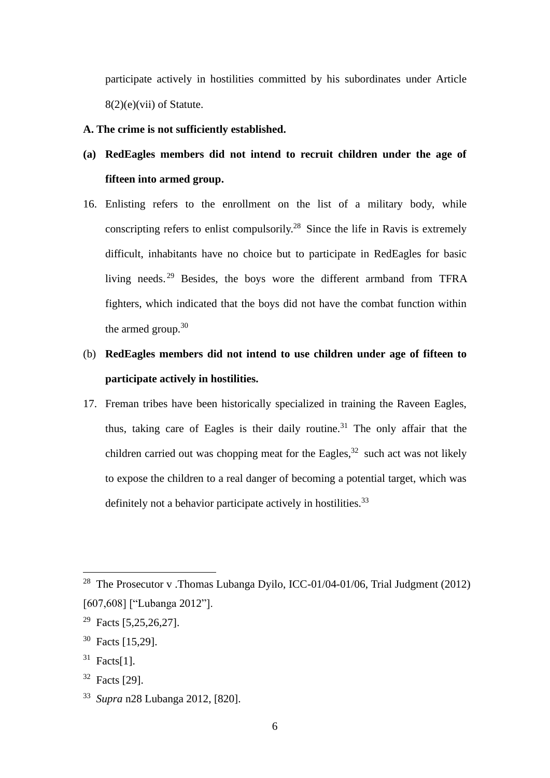participate actively in hostilities committed by his subordinates under Article 8(2)(e)(vii) of Statute.

## **A. The crime is not sufficiently established.**

- **(a) RedEagles members did not intend to recruit children under the age of fifteen into armed group.**
- 16. Enlisting refers to the enrollment on the list of a military body, while conscripting refers to enlist compulsorily.<sup>28</sup> Since the life in Ravis is extremely difficult, inhabitants have no choice but to participate in RedEagles for basic living needs.<sup>29</sup> Besides, the boys wore the different armband from TFRA fighters, which indicated that the boys did not have the combat function within the armed group.<sup>30</sup>

# (b) **RedEagles members did not intend to use children under age of fifteen to participate actively in hostilities.**

17. Freman tribes have been historically specialized in training the Raveen Eagles, thus, taking care of Eagles is their daily routine.<sup>31</sup> The only affair that the children carried out was chopping meat for the Eagles,  $32$  such act was not likely to expose the children to a real danger of becoming a potential target, which was definitely not a behavior participate actively in hostilities.<sup>33</sup>

<sup>&</sup>lt;sup>28</sup> The Prosecutor v .Thomas Lubanga Dyilo, ICC-01/04-01/06, Trial Judgment (2012) [607,608] ["Lubanga 2012"].

<sup>&</sup>lt;sup>29</sup> Facts [5,25,26,27].

<sup>30</sup> Facts [15,29].

 $31$  Facts[1].

 $32$  Facts [29].

<sup>33</sup> *Supra* n28 Lubanga 2012, [820].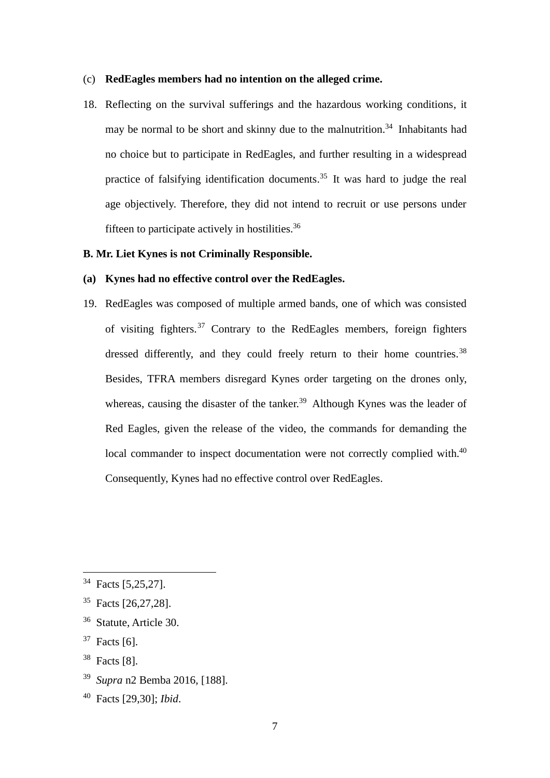#### (c) **RedEagles members had no intention on the alleged crime.**

18. Reflecting on the survival sufferings and the hazardous working conditions, it may be normal to be short and skinny due to the malnutrition.<sup>34</sup> Inhabitants had no choice but to participate in RedEagles, and further resulting in a widespread practice of falsifying identification documents.<sup>35</sup> It was hard to judge the real age objectively. Therefore, they did not intend to recruit or use persons under fifteen to participate actively in hostilities.<sup>36</sup>

## **B. Mr. Liet Kynes is not Criminally Responsible.**

#### **(a) Kynes had no effective control over the RedEagles.**

19. RedEagles was composed of multiple armed bands, one of which was consisted of visiting fighters.<sup>37</sup> Contrary to the RedEagles members, foreign fighters dressed differently, and they could freely return to their home countries.<sup>38</sup> Besides, TFRA members disregard Kynes order targeting on the drones only, whereas, causing the disaster of the tanker.<sup>39</sup> Although Kynes was the leader of Red Eagles, given the release of the video, the commands for demanding the local commander to inspect documentation were not correctly complied with.<sup>40</sup> Consequently, Kynes had no effective control over RedEagles.

- <sup>38</sup> Facts [8].
- <sup>39</sup> *Supra* n2 Bemba 2016, [188].
- <sup>40</sup> Facts [29,30]; *Ibid*.

<sup>34</sup> Facts [5,25,27].

<sup>35</sup> Facts [26,27,28].

<sup>36</sup> Statute, Article 30.

 $37$  Facts [6].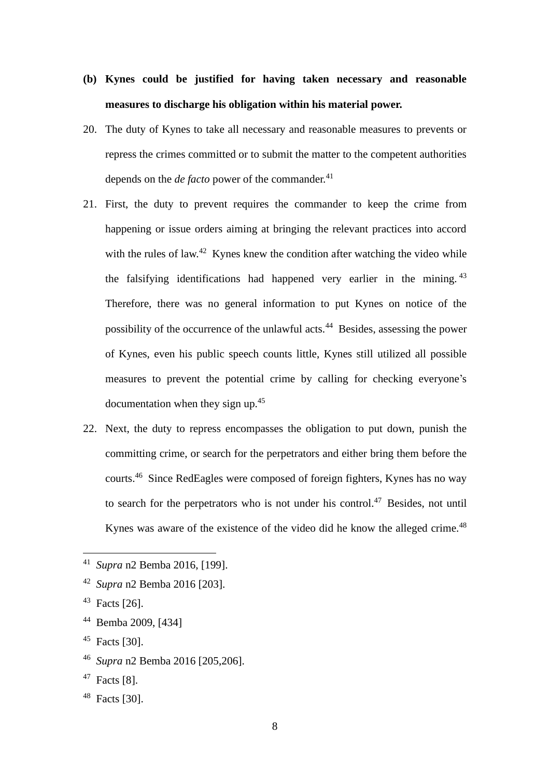# **(b) Kynes could be justified for having taken necessary and reasonable measures to discharge his obligation within his material power.**

- 20. The duty of Kynes to take all necessary and reasonable measures to prevents or repress the crimes committed or to submit the matter to the competent authorities depends on the *de facto* power of the commander.<sup>41</sup>
- 21. First, the duty to prevent requires the commander to keep the crime from happening or issue orders aiming at bringing the relevant practices into accord with the rules of law.<sup>42</sup> Kynes knew the condition after watching the video while the falsifying identifications had happened very earlier in the mining. <sup>43</sup> Therefore, there was no general information to put Kynes on notice of the possibility of the occurrence of the unlawful acts.<sup>44</sup> Besides, assessing the power of Kynes, even his public speech counts little, Kynes still utilized all possible measures to prevent the potential crime by calling for checking everyone's documentation when they sign up.<sup>45</sup>
- 22. Next, the duty to repress encompasses the obligation to put down, punish the committing crime, or search for the perpetrators and either bring them before the courts.<sup>46</sup> Since RedEagles were composed of foreign fighters, Kynes has no way to search for the perpetrators who is not under his control.<sup>47</sup> Besides, not until Kynes was aware of the existence of the video did he know the alleged crime.<sup>48</sup>

<sup>48</sup> Facts [30].

<sup>41</sup> *Supra* n2 Bemba 2016, [199].

<sup>42</sup> *Supra* n2 Bemba 2016 [203].

<sup>43</sup> Facts [26].

<sup>44</sup> Bemba 2009, [434]

 $45$  Facts [30].

<sup>46</sup> *Supra* n2 Bemba 2016 [205,206].

 $47$  Facts [8].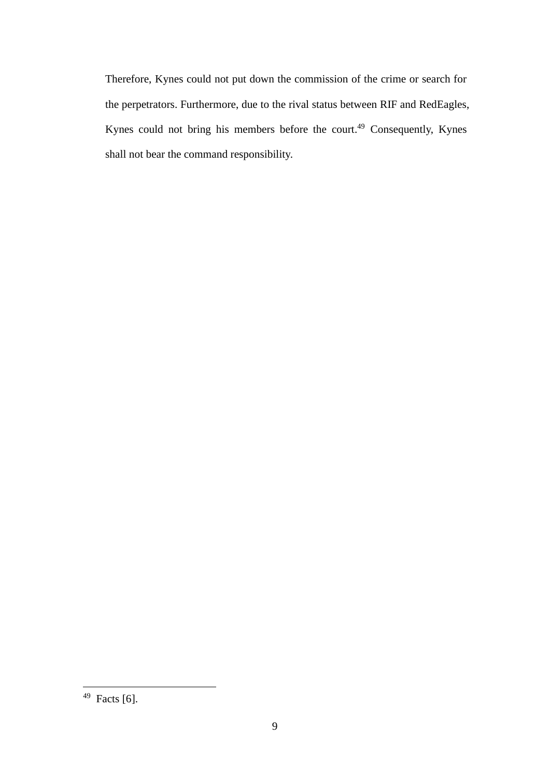Therefore, Kynes could not put down the commission of the crime or search for the perpetrators. Furthermore, due to the rival status between RIF and RedEagles, Kynes could not bring his members before the court.<sup>49</sup> Consequently, Kynes shall not bear the command responsibility.

 $49$  Facts [6].